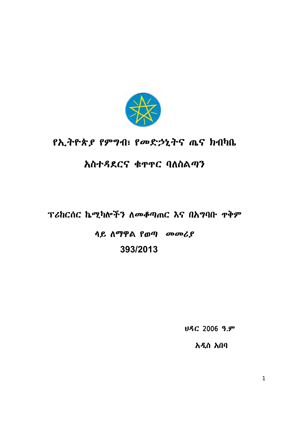

# የኢትዮጵ*ያ የምግ*ብ፣ የመድኃኒትና ጤና ክብካቤ

## አስተዳደርና ቁዋዋር ባለስልጣን

### ፕሪከርሰር ኬሚካሎችን ለመቆጣጠር እና በአግባቡ ዋቅም

# <u>ላይ ለማዋል የወጣ መመሪያ</u> **393/2013**

ህዳር 2006 ዓ.ም

አዲስ አበባ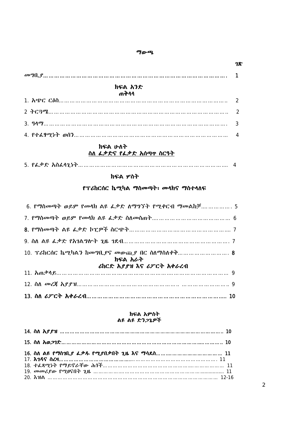#### ÷ƕǫ

| ክፍል አንድ  |  |
|----------|--|
|          |  |
|          |  |
| 3. $917$ |  |
|          |  |
|          |  |

#### ክፍል ሁለት ስለ ፌቃድና የፌቃድ አሰጣዋ ስርዓት

|--|

#### ክፍል ሦስት

### የፕሪከርሰር ኬሚካል ማስመጣት፣ መላክና ማስተላለፍ

| _6. የማስመጣት ወይም የመሳክ ልዩ ፌቃድ ስማግኘት የሚቀርብ ማመልከቻ 5 |
|------------------------------------------------|
|                                                |
|                                                |
|                                                |
| ክፍል አራት                                        |
| ሪከርድ አያያዝ እና ሪፖርት አቀራረብ                        |
|                                                |
|                                                |
|                                                |

#### ክፍል አምስት ልዩ ልዩ ድን*ጋ*ጌዎች

| 14. $\mathbf{\hat{n}} \mathbf{\hat{h}} \mathbf{\hat{f}} \mathbf{\hat{f}} \mathbf{\hat{f}}$ |  |
|--------------------------------------------------------------------------------------------|--|
|                                                                                            |  |
|                                                                                            |  |
|                                                                                            |  |
|                                                                                            |  |
|                                                                                            |  |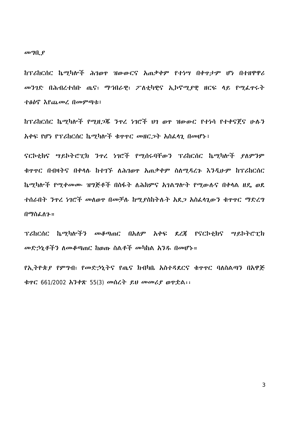$\omega$ <sup>o</sup> $\eta$ <sub>k</sub> $\rho$ 

ከፕሪከርሰር ኬሚካሎች ሕገወዋ ዝውውርና አጠቃቀም የተነሣ በቀዋታም ሆነ በተዘዋዋሪ መንገድ በሕብረተሰቡ ጤና፣ ማኀበራዊ፣ ፖለቲካዊና ኢኮኖሚያዊ ዘርፍ ላይ የሚፌዋሩት ተፅዕኖ እየጨመረ በመምጣቱ፤

ከፕሪከርሰር ኬማካሎች የማዘ*ጋጁ* ንዋረ *ነገ*ሮች ህገ ወዋ ዝውውር የተነሳ የተቀናጀና ሁሉን አቀፍ የሆነ የፕሪከርሰር ኬሚካሎች ቁዋዋር መዘርጋት አስፌሳጊ በመሆኑ፤

ናርኮቲክና ሣይኮትሮፒክ ንዯረ ነገሮች የሚሰሩባቸውን ፕሪከርሰር ኬሚካሎች ያለምንም ቄዋዋር በብዛትና በቀላሉ ከተገኙ ለሕገወዋ አጠቃቀም ስለማዳረጉ እንዲሁም ከፕሪከርሰር ኬማካሎች የሚቀመሙ ዝግጅቶች በስፋት ለሕክምና አገልግሎት የሚውሉና በቀላል ዘዴ ወደ ተሰራበት ንዋረ ነገሮች መለወዋ በመቻለ ከሚያስከትሉት አደጋ አስፌሳጊውን ቁዋዋር ማድረግ በማስፌስን።

ፕሪስርሰር ኬሚካሎችን መቆጣጠር በአለም አቀፍ ደረጃ የናርኮቲክና ሣይኮትሮፒክ መድኃኒቶችን ስመቆጣጠር ከወጡ ስልቶች መካከል አንዱ በመሆኑ።

ይኢትዮጵ*ያ የምግ*ብ፣ *የመድኃኒ*ትና የጨና ክብካቤ አስተዳደርና ቁዋዋር ባለስልጣን በአዋጅ ቁዋር 661/2002 አንቀጽ 55(3) መሰረት ይህ መመሪያ ወዋቷል፡፡

3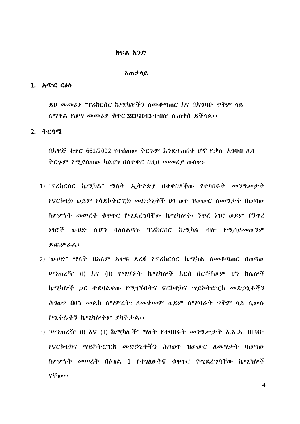#### ክፍል አንድ

#### አጠቃሳይ

#### 1. አጭር ርዕስ

ይህ መመሪያ "ፕሪክርስር ኬማካሎችን ለመቆጣጠር እና በአግባቡ ዋቅም ላይ <u>ስማዋል የወጣ መመሪ</u>ያ ቁዋር 393/2013 ተብሎ ሲጠቀስ ይችሳል፡፡

#### $2.$   $\lambda$  $C3$  $R$

<u>በአዋጅ ቁዋር 661/2002 የተሰጠው ትርጉም እንደተጠበቀ ሆኖ የቃሉ አገባብ ሌላ</u> ትርኍም የሚያሰጠው ካልሆነ በስተቀር በዚህ መመሪያ ውስዋ፦

- 1) "ፕሪስርሰር ኬሚካል" ማለት ኢትዮጵያ በተቀበለችው የተባበሩት መንግሥታት የናርኮቲክ ወይም የሳይኮትሮፒክ መድኃኒቶች ህገ ወዋ ዝውውር ለመግታት በወጣው <u>ስምምነት መሠረት ቁዋዋር የሚደረግባቸው ኬሚካሎች፣ ንዋረ ነገር ወይም የንዋረ</u> *ነገ*ሮች ውሀድ ሲሆን ባለስልጣኑ ፕሪከርሰር ኬሚካል ብሎ የሚሰይመውንም ይጨምራል፤
- 2) "ውህድ" ማለት በአለም አቀፍ ደረጃ የፕሪከርሰር ኬሚካል ለመቆጣጠር በወጣው ሥንጠረዥ (Ι) እና (ΙΙ) የሚገኙት ኬሚካሎች እርስ በርሳቸውም ሆነ ከሌሎች ኬሚካሎች ጋር ተደባልቀው የሚገኙበትና ናርኮቲክና ሣይኮትሮፒክ መድኃኒቶችን ሕገወዋ በሆ*ነ መ*ልክ ለማምረት፣ ለመቀመም ወይም ለማጣራት ዋቅም ላይ ሲውሉ የሚችሉትን ኬሚካሎችም ያካትታል፡፡
- 3) "ሥንጠረዥ (I) እና (II) ኬሚካሎች" ማለት የተባበሩት መንግሥታት እ.ኤ.አ. በ1988 የናርኮቲክና ሣይኮትሮፒክ መድኃኒቶችን ሕገወዋ ዝውውር ስመግታት ባወጣው <u>ስምምነት መሠረት በዕዝል 1 የተገለፁትና ቁዋዋር የሚደረግባቸው ኬሚካሎች</u> ናቸው፡፡

4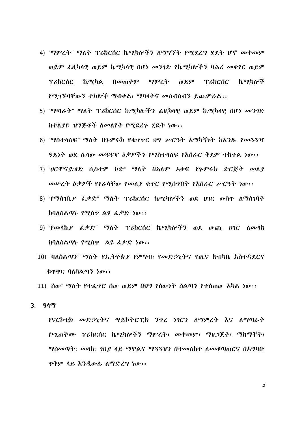- 4) "ማምረት" ማለት ፕሪከርሰር ኬሚካሎችን ለማግኘት የሚደረግ ሂደት ሆኖ መቀመም ወይም ፌዚካላዊ ወይም ኬሚካላዊ በሆነ መንገድ የኬሚካሎችን ባሕሪ መቀየር ወይም **TichCoc** ኬ*ማካ*ል በ*መ*ጠቀም ማምረት ወይም ፕሪከርሰር ኬማካሎች የሚገኙባቸውን ተክሎች ማብቀል፣ ማባዛትና መሰብሰብን ይጨምራል፡፡
- 5) "ማጣራት" ማለት ፕሪከርሰር ኬሚካሎችን ፌዚካላዊ ወይም ኬሚካላዊ በሆነ መንገድ ከተለያዩ ዝግጅቶች ለመለየት የማደረጉ ሂደት ነው፡፡
- 6) "ማስተሳለፍ" ማለት በጉምሩክ የቁዋዋር ሀግ ሥርዓት አማካኝነት ከአንዱ የመጓጓዣ ዓይነት ወደ ሌላው መጓጓዣ ዕቃዎችን የማስተላለፍ የአሰራር ቅደም ተከተል ነው፡፡
- 7) "ሀርሞናይዝድ ሲስተም ኮድ" ማለት በአለም አቀፍ የጉምሩክ ድርጅት መለያ መሥረት ዕቃዎች የየራሳቸው የመለያ ቁዋር የሚሰዋበት የአሰራር ሥርዓት ነው፡፡
- 8) "የማስገቢያ ፌቃድ" ማለት ፕሪከርሰር ኬሚካሎችን ወደ ሀገር ውስዋ ለማስገባት ከባለስልጣኑ የሚሰዋ ልዩ ፌቃድ ነው፡፡
- 9) "የመሳኪያ ፌቃድ" ማለት ፕሪከርሰር ኬሚካሎችን ወደ ውጪ ሀገር ለመሳክ ከባለስልጣኑ የሚሰዋ ልዩ ፌቃድ ነው፡፡
- 10) "ባለስልጣን" ማለት የኢትዮጵያ የምግብ፣ የመድኃኒትና የጤና ክብካቤ አስተዳደርና ቁዋዋር ባለስልጣን ነው፡፡

11) "ሰው" ማለት የተፌዋሮ ሰው ወይም በሀግ የሰውነት ስልጣን የተሰጠው አካል ነው፡፡

 $3.91<sup>q</sup>$ 

- 
- 
- 
- 
- 

5

የናርኮቲክ መድኃኒትና ሣይኮትሮፒክ ንዋረ ነገርን ለማምረት እና ለማጣራት የሚጠቅሙ ፕሪከርሰር ኬሚካሎችን ማምረት፣ መቀመም፣ ማዘጋጀት፣ ማከማቸት፣ *ግስሙባት፣ ሙላክ፣ ገቢያ ላይ ግዋልና ግጓጓዝን በተመለከተ ለመቆጣ*ጠርና በአ*ግ*ባቡ ዋቅም ሳይ እንዲውሉ ለማድረግ ነው፡፡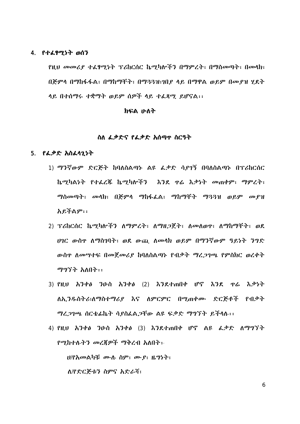#### 4. የተፈፃሚነት ወሰን

የዚህ መመሪያ ተፈፃሚነት ፕሪከርሰር ኬሚካሎችን በማምረት፣ በማስመጣት፣ በመላክ፣ በጅምሳ በማከፋፋል፣ በማከማቸት፣ በማ33ዝ፣ኀበያ ላይ በማዋል ወይም በመያዝ ሂደት ላይ በተሰማሩ ተቋማት ወይም ሰዎች ላይ ተፈጻሚ ይሆናል፡፡

#### れいる ルハナ

#### ስለ ፌቃድና የፌቃድ አሰማዋ ስርዓት

#### 5. የፌቃድ አስፈላጊነት

- 1) ማንኛውም ድርጅት ከባለስልጣኑ ልዩ ፌቃድ ሳያገኝ በባለስልጣኑ በፕሪከርሰር ኬሚካልነት የተፌረጅ ኬሚካሎችን እንደ ዋሬ እቃነት መጠቀም፣ ማምረት፣ ማስመጣት፣ መሳክ፣ በጅምሳ ማከፋፌል፣ ማከማቸት ማ33ዝ ወይም መያዝ አይችልም፡፡
- 2) ፕሪከርሰር ኬሚካሎችን ለማምረት፣ ለማዘጋጀት፣ ለመለወዋ፣ ለማከማቸት፣ ወደ ሀገር ውስዋ ለማስገባት፣ ወደ ውጪ ለመላክ ወይም በማንኛውም ዓይነት ንግድ ውስዋ ለመሣተፍ በመጀመሪያ ከባለስልጣኑ የብቃት ማረጋገጫ የምስክር ወረቀት ማግኘት አለበት፡፡
- 3) የዚህ አንቀፅ ንዑስ አንቀፅ (2) እንደተጠበቀ ሆኖ እንደ ዋሬ እቃነት ለኢንዱስትሪ፣ለማስተማሪያ እና ለምርምር በሚጠቀሙ ድርጅቶች የብቃት ማረጋገጫ ሰርቴፌኬት ሳያስፌልጋቸው ልዩ ፍቃድ ማግኘት ይችላሉ፡፡
- 4) የዚህ አንቀፅ ንዑስ አንቀፅ (3) እንደተጠበቀ ሆኖ ልዩ ፌቃድ ለማግኘት የሚከተሉትን መረጃዎች ማቅረብ አለበት፡-ሀ/የአመልካቹ ሙሉ ስም፣ ሙያ፣ ዜግነት፣ ለ/የድርጅቱን ስምና አድራሻ፣

6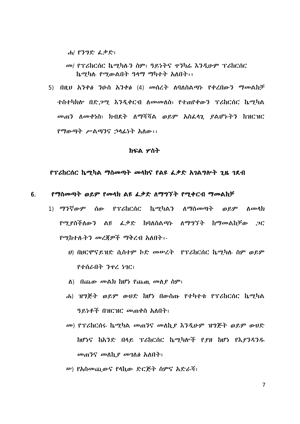ሐ/ የንግድ ፌቃድ፣

- መ/ የፕሪከርሰር ኬሚካሉን ስም፣ ዓይነትና ዋንካሬ እንዲሁም ፕሪከርሰር ኬማካሉ የማውልበት ዓላማ ማካተት አለበት፡፡
- 5) በዚህ አንቀፅ ንዑስ አንቀፅ (4) መሰረት ለባለስልጣኑ የቀረበውን ማመልከቻ ተስተካክሎ በድ*ጋሚ እንዲ*ቀርብ ለመመለስ፣ የተጠየቀውን ፕሪከርሰር ኬሚካል መጠን ስመቀነስ፣ ክብደት ስማሻሻል ወይም አስፌሳጊ ያልሆኑትን ከዝርዝር የማውጣት ሥልጣንና ኃላፊነት አለው፡፡

#### ክፍል ሦስት

#### የፕሪከርሰር ኬሚካል ማስመጣት መሳክና የልዩ ፌቃድ አባልግሎት ጊዜ ገደብ

#### የማስመጣት ወይም የመሳክ ልዩ ፌቃድ ለማግኘት የሚቀርብ ማመልከቻ 6.

- 1) ማንኛውም ሰው የፕሪከርሰር ኬሚካልን ለማስመጣት ወይም ለመላክ የሚያስችለውን ልዩ ፌቃድ ከባለስልጣኑ ለማግኘት ከማመልከቻው ጋር *የሚከተሉትን መረጀዎች ማቅረብ አ*ለበት፡-
	- ሀ) በሀርሞናይዝድ ሲስተም ኮድ መሥረት \_ የፕሪከርሰር ኬሚካሉ ስም ወይም የተሰራበት ንዋረ ነገር፣
	- $\Lambda$ ) በጨው መልክ ከሆነ የጨዉ መለያ ስም፣
	- ሐ) ዝግጅት ወይም ውሀድ ከሆነ በውስጡ የተካተቱ የፕሪከርስር ኬማካል ዓይነቶች በዝርዝር መጠቀስ አለበት፣
	- መ) የፕሪከርሰሩ ኬሚካል መጠንና መለኪያ እንዲሁም ዝግጅት ወይም ውሀድ ከሆነና ከአንድ በላይ ፕሪከርሰር ኬሚካሎች የያዘ ከሆነ የእያንዳንዱ መጠንና መለኪያ መገለፅ አለበት፣
	- ሥ) የአስመጪውና የሳኪው ድርጅት ስምና አድራሻ፣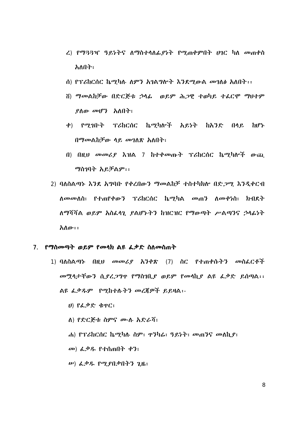- ረ) የማ33ዣ ዓይነትና ለማስተላለፊያነት የሚጠቀምበት ሀገር ካለ መጠቀስ አለበት፣
- ሰ) የፕሪከርሰር ኬሚካሉ ለምን አገልግሎት እንደሚውል መገለፅ አለበት፡፡
- ሽ) ማመልከቻው በድርጅቱ ኃሳፊ ወይም ሕጋዊ ተወካይ ተፊርሞ ማሀተም ያለው መሆን አለበት፣
- ቀ) የማኅቡት ፕሪከርሰር ኬማካሎች አይነት ከአንድ  $00<sub>0</sub>$ **ከሆኑ** በማመልከቻው ላይ መገለጽ አለበት፣
- በ) በዚህ መመሪያ እዝል 7 ከተቀመጡት ፕሪከርሰር ኬሚካሎች ውጪ ማስገባት አይቻልም፡፡
- 2) ባለስልጣኑ እንደ አግባቡ የቀረበውን ማመልከቻ ተስተካክሎ በድጋሚ እንዲቀርብ ለ*መመ*ለስ፣ የተጠየቀውን ፕሪከርሰር ኬሚካል መጠን ለመቀነስ፣ ክብደት ለማሻሻል ወይም አስፌሳጊ ያልሆኑትን ከዝርዝር የማውጣት ሥልጣንና ኃላፊነት አለው።

#### 7. የማስመጣት ወይም የመሳክ ልዩ ፌቃድ ስለመስጠት

- 1) ባለስልጣኑ በዚህ መመሪያ አንቀጽ (7) ስር የተጠቀሱትን መስፌርቶች መሟላታቸውን ሲያረጋግዋ የማስገቢያ ወይም የመሳኪያ ልዩ ፌቃድ ይሰጣል፡፡ ልዩ ፌቃዱም የሚከተሉትን መረጀዎች ይይዛል፡-
	- ሀ) የፌቃድ ቁዋር፣
	- ለ) የድርጅቱ ስምና ሙሉ አድራሻ፣
	- ሐ) የፕሪከርሰር ኬሚካሉ ስም፣ ዋንካሬ፣ ዓይነት፣ መጠንና መለኪያ፣
	- መ) ፌቃዱ የተሰጠበት ቀን፣
	- $\omega$ ) &  $\mathcal{P}$ &  $\mathcal{P}$  $\mathcal{P}$   $\mathcal{P}$  $\mathcal{Q}$  $\mathcal{P}$  $\mathcal{Q}$  $\mathcal{P}$  $\mathcal{Q}$  $\mathcal{P}$  $\mathcal{P}$  $\mathcal{P}$  $\mathcal{P}$  $\mathcal{P}$  $\mathcal{P}$  $\mathcal{P}$  $\mathcal{P}$  $\mathcal{P}$  $\mathcal{P}$  $\mathcal{P}$  $\mathcal{P}$  $\mathcal{P}$  $\mathcal{P}$  $\mathcal{P}$  $\mathcal{P}$  $\mathcal{P}$  $\$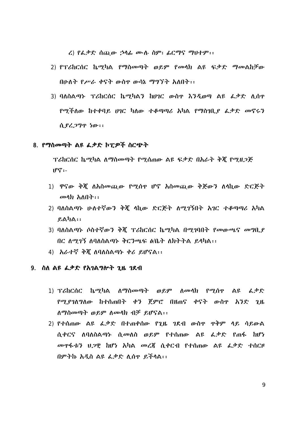$\zeta$ ) የፌቃድ ሰጪው ኃሳፊ ሙሉ ስም፣ ፊ $\zeta^a$ ዋና ማሀተም፡፡

- 2) የፕሪከርሰር ኬሚካል የማስመጣት ወይም የመሳክ ልዩ ፍቃድ ማመልከቻው በሁለት የሥራ ቀናት ውስዋ ውሳኔ ማግኘት አለበት፡፡
- 3) ባለስልጣኑ ፕሪከርሰር ኬሚካልን ከሀገር ውስዋ እንዲወጣ ልዩ ፌቃድ ሊሰዋ <u>የሚችለው ከተቀባይ ሆገር ካለው ተቆጣጣሪ አካል የማስገቢያ ፌቃድ መኖሩን</u> ሲያረጋግዋ ነው፡፡

#### 8. የማስመጣት ልዩ ፌቃድ ኮፒዎች ስርጭት

ፕሪከርሰር ኬማካል ለማስመጣት የማሰጠው ልዩ ፍቃድ በአራት ቅጀ የማዘጋጅ  $\mathbf{P}^{\mathbf{e}}$ :

- 1) ዋናው ቅጇ ለአስመጪው የሚሰዋ ሆኖ አስመጪው ቅጅውን ለሳኪው ድርጅት  $\omega$ ላክ አለበት፡፡
- 2) ባለስልጣኑ ሁለተኛውን ቅጇ ሳኪው ድርጅት ለሚገኝበት አገር ተቆጣጣሪ አካል  $P.A hA ::$
- 3) ባለስልጣኑ ሶስተኛውን ቅጀ ፕሪከርሰር ኬማካል በማገባበት የመውጫና መግቢያ በር ስማገኝ ስባለስልጣኑ ቅርንጫፍ ል/ቤት ለክትትል ይላካል::
- 4) አራተኛ ቅጇ ለባለስልጣኑ ቀሪ ይሆናል፡፡

#### 9. ስለ ልዩ ፌቃድ የአገልግሎት ጊዜ ገደብ

- 1) ፕሪከርሰር ኬሚካል ለማስመጣት ወይም ለመሳክ የሚሰዋ ልዩ ፌቃድ ኖሚያገለግለው ከተሰጠበት ቀን ጀምሮ በዘጠና ቀናት ውስዋ አንድ ጊዜ  $\Lambda$ ማስመጣት ወይም ለመሳክ ብቻ ይሆናል፡፡
- 2) የተሰጠው ልዩ ፌቃድ በተጠቀሰው የጊዜ ገደብ ውስዋ ዋቅም ላይ ሳይውል ሲቀርና ለባለስልጣኑ ሲመለስ ወይም የተሰጠው ልዩ ፌቃድ የጠፋ ከሆነ *መ*ዋፋቱን ሀ*ጋ*ዊ ከሆነ አካል መረጀ ሲቀርብ የተሰጠው ልዩ ፌቃድ ተሰርዞ በምትኩ አዲስ ልዩ ፌቃድ ለሰዋ ይችላል::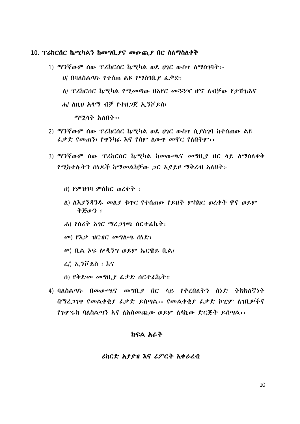#### 10. ፕሪከርሰር ኬሚካልን ከመግቢያና መውጪያ በር ስለማስለቀቅ

- 1) ማንኛውም ሰው ፕሪከርሰር ኬሚካል ወደ ሀገር ውስዋ ለማስገባት፡-*ህ/* በባለስልማኑ የተሰጠ ልዩ የማስገቢ*ያ ፌ*ቃድ፣ ለ/ ፕሪከርሰር ኬማካል የማመጣው በአየር መ33ዣ ሆኖ ለብቻው የታሸገ፧እና ሐ/ ለዚህ አሳማ ብቻ የተዘጋጀ ኢንቮይስ፣ ማሟላት አለበት፡፡
- 2) ማንኛውም ሰው ፕሪከርስር ኬማካል ወደ ሀገር ውስዋ ሲያስገባ ከተሰጠው ልዩ ፌቃድ የመጠን፣ የዋንካሬ እና የስም ለውዋ መኖር የለበትም፡፡
- 3) ማንኛውም ሰው ፕሪከርሰር ኬሚካል ከመውጫና መግቢደ በር ላይ ለማስለቀቅ የሚከተሉትን ሰነዶች ከማመልከቻው ጋር እያይዞ ማቅረብ አለበት፡-
	- $U$ ) የምዝገባ ምስክር ወረቀት ፣
	- ለ) ለእያንዳንዱ መለያ ቁዋር የተሰጠው የይዘት ምስክር ወረቀት ዋና ወይም ቅጅውን ፣
	- ሐ) የስሪት አገር ማረ*ጋ*ገጫ ሰርተፊኬት፣
	- መ) የእቃ ዝርዝር መግለጫ ሰነድ፣
	- ሥ) ቢል ኦፍ ሎዲንግ ወይም ኤርዌይ ቢል፣
	- $\langle \lambda \rangle$  ኢንቮይስ ፣ እና
	- ሰ) የቅድመ መግቢያ ፌቃድ ሰርተፊኬት።
- 4) ባለስልጣኑ በመውጫና መግቢያ በር ላይ የቀረበለትን ሰነድ ትክክለኛነት በማረጋገዋ የመልቀቂያ ፌቃድ ይሰጣል፡፡ የመልቀቂያ ፌቃድ ከፒም ስገቢዎችና የጉምሩክ ባለስልጣን እና ለአስመጪው ወይም ለሳኪው ድርጅት ይሰጣል፡፡

#### ክፍል አራት

#### ሪከርድ አያያዝ እና ሪፖርት አቀራረብ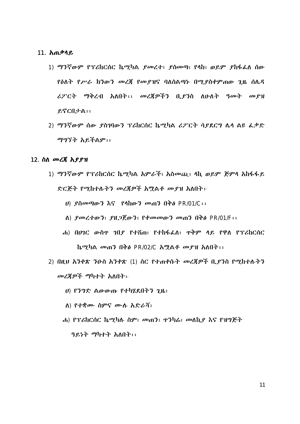#### 11. አጠቃሳይ

- 1) ማንኛውም የፕሪከርሰር ኬሚካል ያመረተ፣ ያስመጣ፣ የላከ፣ ወይም ያከፋፌስ ሰው የዕለት የሥራ ክንውን መረጃ የመያዝና ባለስልጣኑ በሚያስቀምጠው ጊዜ ሰሌዳ ሪፖርት ማቅረብ አለበት፡፡ መረጃዎችን ቢያንስ ለሁለት ዓመት መያዝ ይኖርበታል፡፡
- 2) ማንኛውም ሰው ያስገባውን ፕሪከርሰር ኬሚካል ሪፖርት ሳያደርግ ሌሳ ልዩ ፌቃድ ማግኘት አይችልም፡፡

#### 12. ስለ *መረ*ጀ አ*ያያ*ዝ

- 1) ማንኛውም የፕሪከርሰር ኬሚካል አምራች፣ አስመጪ፣ ላኪ ወይም ጅምላ አከፋፋይ ድርጅት የሚከተሉትን መረጀዎች አሟልቶ መያዝ አለበት፡-
	- U) ያስመጣውን እና የሳከውን መጠን በቅፅ PR/01/C::
	- $\Lambda$ )  $\ell$ መረተውን፣  $\ell$ ዘጋጀውን፣  $\ell$ ቀመመውን መጠን በቅፅ PR/01/F::
	- ሐ) በሀገር ውስዋ ገበይ የተሸጠ፣ የተከፋፌለ፣ ዋቅም ላይ የዋለ የፕሪከርሰር ኬማካል መጠን በቅል PR/02/C አማልቶ መያዝ አለበት፡፡
- 2) በዚህ አንቀጽ ንዑስ አንቀጽ (1) ስር የተጠቀሱት መረጃዎች ቢያንስ የሚከተሉትን መረጀዎች ማካተት አለበት፡-
	- ሀ) የንግድ ልውውጡ የተካሄደበትን ጊዜ፣
	- ለ) የተቋሙ ስምና ሙሉ አድራሻ፣
	- ሐ) የፕሪከርሰር ኬሚካሉ ስም፣ መጠን፣ ዋንካሬ፣ መለኪያ እና የዝግጅት ዓይነት ማካተት አለበት፡፡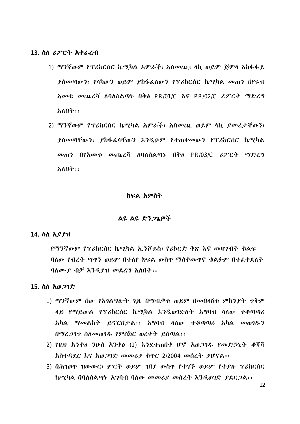#### 13. ስለ *ሪፖርት አቀራረ*ብ

- 1) ማንኛውም የፕሪከርሰር ኬሚካል አምራች፣ አስመጪ፣ ሳኪ ወይም ጅምላ አከፋፋይ ያስመጣውን፣ የሳካውን ወይም ያከፋፌለውን የፕሪክርስር ኬማካል መጠን በየሩብ አመቱ መጨረሻ ለባለስልጣኑ በቅ*ፅ* PR/01/C እና PR/02/C ሪፖርት ማድረግ አለበት፡፡
- 2) ማንኛውም የፕሪከርስር ኬማካል አምራች፣ አስመጨ ወይም ላኪ ያመረታቸውን፣ \_ያስመጣቸውን፣ \_ያከፋፌሳቸውን \_እንዲሁም \_የተጠቀመውን \_የፕሪከርሰር \_ኬሚካል መጠን በየአመቱ መጨረሻ ለባለስልጣኑ በቅ<u>ል PR/03/C ሪ</u>ፖርት ማድረግ አለበት፡፡

#### ክፍል አምስት

#### ልዩ ልዩ ድንጋጌዎች

#### 14. ስለ አያያዝ

የማንኛውም የፕሪከርሰር ኬሚካል ኢንቮይስ፣ የሪኮርድ ቅጽ እና መዛግብት ቁልፍ ባለው የብረት ሣዋን ወይም በተለየ ክፍል ውስዋ ማስቀመዋና ቁልፉም በተፌቀደለት ባለሙያ ብቻ እንዲያዝ መደረግ አለበት፡፡

#### 15. ስለ አወ*ጋገ*ድ

- $1)$  ማንኛውም ሰው የአንልግሎት ንዜ በማብቃቱ ወይም በመበላሸቱ ምክንደት ዋቅም ላይ የማይውል የፕሪከርሰር ኬማካል እንዲወገድለት አማባብ ላለው ተቆጣጣሪ አካል ማመልከት ይኖርበታል፡፡ አግባብ ሳለው ተቆጣጣሪ አካል መወገዱን በማረ ንገዋ ስለመወገዱ የምስክር ወረቀት ይሰጣል::
- 2) የዚህ አንቀፅ ንዑስ አንቀፅ (1) እንደተጠበቀ ሆኖ አወጋገዱ የመድኃኒት ቆሻሻ አስተዳደር እና አወጋገድ መመሪያ ቁዋር 2/2004 መሰረት ያሆናል::
- 3) በሕገወዋ ዝውውር፣ ምርት ወይም ገበያ ውስዋ የተገኙ ወይም የተያዙ ፕሪከርሰር ኬሚካል በባለስልጣኑ አግባብ ባለው መመሪያ መሰረት እንዲወገድ ያደርጋል፡፡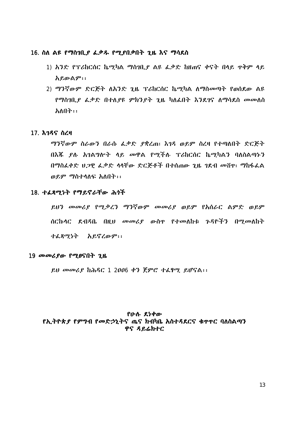#### 16. ስለ ልዩ የማስገቢያ ፌቃዱ የሚያበቃበት ጊዜ እና ማሳደስ

- 1) አንድ የፕሪከርሰር ኬሚካል ማስገቢያ ልዩ ፌቃድ ከዘጠና ቀናት በላይ ዋቅም ላይ አይውልም፡፡
- 2) ማንኛውም ድርጅት ለአንድ ጊዜ ፕሪስርሰር ኬሚካል ለማስመጣት የወሰደው ልዩ *የማስገቢያ ፌ*ቃድ በተለ*ያዩ ምክንያት ጊዜ* ካለፌበት እንደገና ለማሳደስ *መመ*ለስ አለበት፡፡

#### 17. እ*ገዳና ስረ*ዛ

ማንኛውም ስራውን በራሱ ፌቃድ ያቋረጠ፣ እንዳ ወይም ስረዛ የተጣለበት ድርጅት በእጁ ደሉ አገልግሎት ላይ መዋል የሚችሉ ፕሪከርሰር ኬሚካልን ባለስልጣኑን በማስፌቀድ ሀጋዊ ፌቃድ ሳሳቸው ድርጅቶች በተሰጠው ጊዜ ገደብ መሸዋ፣ ማከፋፌል ወይም ማስተሳለፍ አለበት፡፡

#### 18. ተፈጻሚነት የማይኖራቸው ሕጎች

ይህን መመሪያ የሚቃረን ማንኛውም መመሪያ ወይም የአሰራር ልምድ ወይም ሰርኩላር ደብዳቤ በዚህ መመሪያ ውስዋ የተመለከቱ ጉዳዮችን በሚመለከት ተፈጸማ*ነ*ት አይኖረውም፡፡

#### 19 መመሪያው የሚፀናበት ጊዜ

 $.$ ይህ መመሪያ ከሕዳር 1 2006 ቀን ጀምሮ ተፊፃሚ ይሆናል፡፡

#### የሁሉ ደንቀው የኢትዮጵያ የምግብ የመድኃኒትና ጤና ክብካቤ አስተዳደርና ቁጥጥር ባለስልጣን ዋና ዳይሬክተር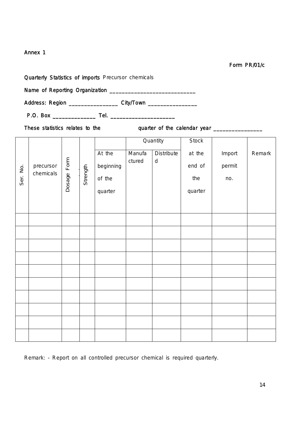Form PR/01/c

Quarterly Statistics of imports Precursor chemicals

Name of Reporting Organization \_\_\_\_\_\_\_\_\_\_\_\_\_\_\_\_\_\_\_\_\_\_\_\_\_\_\_\_

Address: Region \_\_\_\_\_\_\_\_\_\_\_\_\_\_\_\_\_\_\_ City/Town \_\_\_\_\_\_\_\_\_\_\_\_\_\_\_\_\_\_\_\_\_\_\_\_\_\_\_\_\_\_\_\_\_\_

P.O. Box \_\_\_\_\_\_\_\_\_\_\_\_\_\_ Tel. \_\_\_\_\_\_\_\_\_\_\_\_\_\_\_\_\_\_\_\_\_

These statistics relates to the quarter of the calendar year \_\_\_\_\_\_\_\_\_\_\_\_\_\_\_\_\_\_\_

|          |                        |                |          |                                          |                  | Quantity                   | <b>Stock</b>                       |                         |        |
|----------|------------------------|----------------|----------|------------------------------------------|------------------|----------------------------|------------------------------------|-------------------------|--------|
| Ser. No. | precursor<br>chemicals | Form<br>Dosage | Strength | At the<br>beginning<br>of the<br>quarter | Manufa<br>ctured | Distribute<br>$\mathsf{d}$ | at the<br>end of<br>the<br>quarter | Import<br>permit<br>no. | Remark |
|          |                        |                |          |                                          |                  |                            |                                    |                         |        |
|          |                        |                |          |                                          |                  |                            |                                    |                         |        |
|          |                        |                |          |                                          |                  |                            |                                    |                         |        |
|          |                        |                |          |                                          |                  |                            |                                    |                         |        |
|          |                        |                |          |                                          |                  |                            |                                    |                         |        |
|          |                        |                |          |                                          |                  |                            |                                    |                         |        |
|          |                        |                |          |                                          |                  |                            |                                    |                         |        |
|          |                        |                |          |                                          |                  |                            |                                    |                         |        |
|          |                        |                |          |                                          |                  |                            |                                    |                         |        |
|          |                        |                |          |                                          |                  |                            |                                    |                         |        |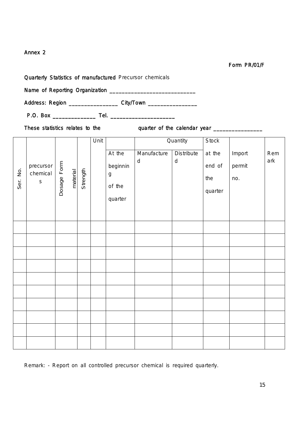Form PR/01/F

Quarterly Statistics of manufactured Precursor chemicals

Name of Reporting Organization \_\_\_\_\_\_\_\_\_\_\_\_\_\_\_\_\_\_\_\_\_\_\_\_\_\_\_\_

Address: Region \_\_\_\_\_\_\_\_\_\_\_\_\_\_\_\_\_\_\_ City/Town \_\_\_\_\_\_\_\_\_\_\_\_\_\_\_\_\_\_\_\_\_\_\_\_\_\_\_\_\_\_\_\_\_\_

P.O. Box \_\_\_\_\_\_\_\_\_\_\_\_\_\_ Tel. \_\_\_\_\_\_\_\_\_\_\_\_\_\_\_\_\_\_\_\_\_

These statistics relates to the quarter of the calendar year \_\_\_\_\_\_\_\_\_\_\_\_\_\_\_\_\_\_\_

|          |                                      |             |          |          | Unit |                                                             |                          | Quantity                       | Stock                              |                         |            |
|----------|--------------------------------------|-------------|----------|----------|------|-------------------------------------------------------------|--------------------------|--------------------------------|------------------------------------|-------------------------|------------|
| Ser. No. | precursor<br>chemical<br>$\mathsf S$ | Dosage Form | material | Strength |      | At the<br>beginnin<br>$\boldsymbol{g}$<br>of the<br>quarter | Manufacture<br>${\sf d}$ | <b>Distribute</b><br>${\sf d}$ | at the<br>end of<br>the<br>quarter | Import<br>permit<br>no. | Rem<br>ark |
|          |                                      |             |          |          |      |                                                             |                          |                                |                                    |                         |            |
|          |                                      |             |          |          |      |                                                             |                          |                                |                                    |                         |            |
|          |                                      |             |          |          |      |                                                             |                          |                                |                                    |                         |            |
|          |                                      |             |          |          |      |                                                             |                          |                                |                                    |                         |            |
|          |                                      |             |          |          |      |                                                             |                          |                                |                                    |                         |            |
|          |                                      |             |          |          |      |                                                             |                          |                                |                                    |                         |            |
|          |                                      |             |          |          |      |                                                             |                          |                                |                                    |                         |            |
|          |                                      |             |          |          |      |                                                             |                          |                                |                                    |                         |            |
|          |                                      |             |          |          |      |                                                             |                          |                                |                                    |                         |            |
|          |                                      |             |          |          |      |                                                             |                          |                                |                                    |                         |            |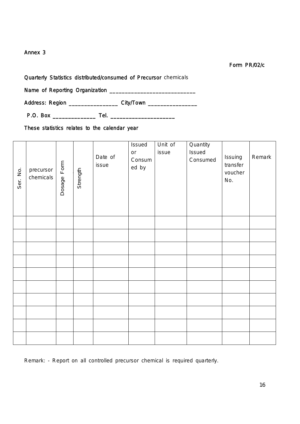#### Form PR/02/c

Quarterly Statistics distributed/consumed of Precursor chemicals

Name of Reporting Organization \_\_\_\_\_\_\_\_\_\_\_\_\_\_\_\_\_\_\_\_\_\_\_\_\_\_\_\_

Address: Region \_\_\_\_\_\_\_\_\_\_\_\_\_\_\_\_\_\_\_ City/Town \_\_\_\_\_\_\_\_\_\_\_\_\_\_\_\_\_

P.O. Box \_\_\_\_\_\_\_\_\_\_\_\_\_\_ Tel. \_\_\_\_\_\_\_\_\_\_\_\_\_\_\_\_\_\_\_\_\_

These statistics relates to the calendar year

| Ser. No. | precursor<br>chemicals | Dosage Form | Strength | Date of<br>issue | Issued<br>$\mathop{\sf or}\nolimits$<br>Consum<br>ed by | Unit of<br>issue | Quantity<br>Issued<br>Consumed | Issuing<br>transfer<br>voucher<br>No. | Remark |
|----------|------------------------|-------------|----------|------------------|---------------------------------------------------------|------------------|--------------------------------|---------------------------------------|--------|
|          |                        |             |          |                  |                                                         |                  |                                |                                       |        |
|          |                        |             |          |                  |                                                         |                  |                                |                                       |        |
|          |                        |             |          |                  |                                                         |                  |                                |                                       |        |
|          |                        |             |          |                  |                                                         |                  |                                |                                       |        |
|          |                        |             |          |                  |                                                         |                  |                                |                                       |        |
|          |                        |             |          |                  |                                                         |                  |                                |                                       |        |
|          |                        |             |          |                  |                                                         |                  |                                |                                       |        |
|          |                        |             |          |                  |                                                         |                  |                                |                                       |        |
|          |                        |             |          |                  |                                                         |                  |                                |                                       |        |
|          |                        |             |          |                  |                                                         |                  |                                |                                       |        |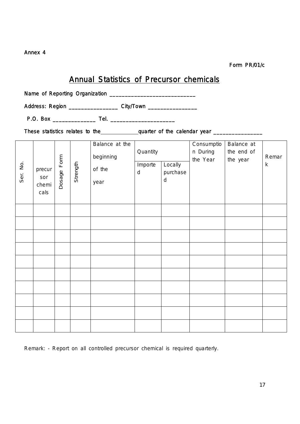Form PR/01/c

### Annual Statistics of Precursor chemicals

Name of Reporting Organization \_\_\_\_\_\_\_\_\_\_\_\_\_\_\_\_\_\_\_\_\_\_\_\_\_\_\_\_

Address: Region \_\_\_\_\_\_\_\_\_\_\_\_\_\_\_\_\_\_\_ City/Town \_\_\_\_\_\_\_\_\_\_\_\_\_\_\_\_\_\_\_\_\_\_\_\_\_\_\_\_\_\_\_\_\_\_

P.O. Box \_\_\_\_\_\_\_\_\_\_\_\_\_\_ Tel. \_\_\_\_\_\_\_\_\_\_\_\_\_\_\_\_\_\_\_\_\_

These statistics relates to the quarter of the calendar year \_\_\_\_\_\_\_\_\_\_\_\_\_\_\_\_\_\_\_

| Ser. No. | precur<br>sor<br>chemi<br>cals | Dosage Form | Strength | Balance at the<br>beginning<br>of the<br>year | Quantity<br>Importe<br>$\mathsf{d}$ | Locally<br>purchase<br>$\sf d$ | Consumptio<br>n During<br>the Year | Balance at<br>the end of<br>the year | Remar<br>$\sf k$ |
|----------|--------------------------------|-------------|----------|-----------------------------------------------|-------------------------------------|--------------------------------|------------------------------------|--------------------------------------|------------------|
|          |                                |             |          |                                               |                                     |                                |                                    |                                      |                  |
|          |                                |             |          |                                               |                                     |                                |                                    |                                      |                  |
|          |                                |             |          |                                               |                                     |                                |                                    |                                      |                  |
|          |                                |             |          |                                               |                                     |                                |                                    |                                      |                  |
|          |                                |             |          |                                               |                                     |                                |                                    |                                      |                  |
|          |                                |             |          |                                               |                                     |                                |                                    |                                      |                  |
|          |                                |             |          |                                               |                                     |                                |                                    |                                      |                  |
|          |                                |             |          |                                               |                                     |                                |                                    |                                      |                  |
|          |                                |             |          |                                               |                                     |                                |                                    |                                      |                  |
|          |                                |             |          |                                               |                                     |                                |                                    |                                      |                  |